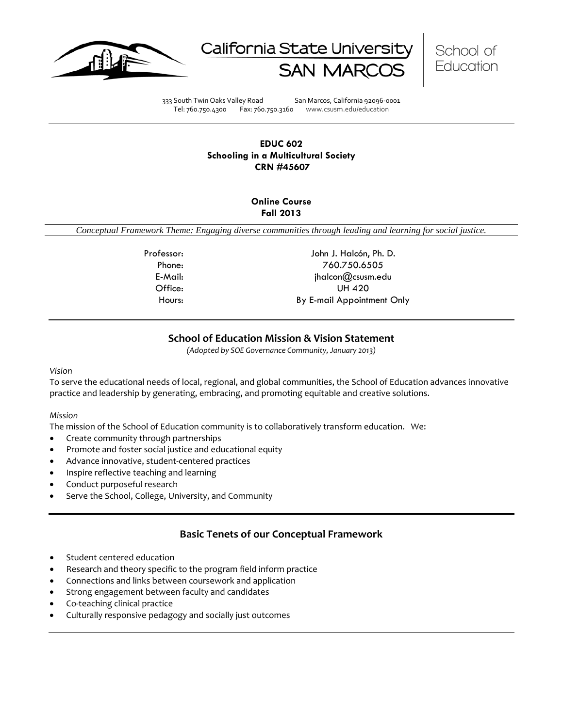





333 South Twin Oaks Valley Road San Marcos, California 92096-0001 Tel: 760.750.4300 Fax: 760.750.3160 www.csusm.edu/education

## **EDUC 602 Schooling in a Multicultural Society CRN #45607**

## **Online Course Fall 2013**

*Conceptual Framework Theme: Engaging diverse communities through leading and learning for social justice.*

Professor: John J. Halcón, Ph. D. Phone: 760.750.6505 E-Mail: jhalcon@csusm.edu Office: UH 420 Hours: By E-mail Appointment Only

# **School of Education Mission & Vision Statement**

*(Adopted by SOE Governance Community, January 2013)*

### *Vision*

To serve the educational needs of local, regional, and global communities, the School of Education advances innovative practice and leadership by generating, embracing, and promoting equitable and creative solutions.

### *Mission*

The mission of the School of Education community is to collaboratively transform education. We:

- Create community through partnerships
- Promote and foster social justice and educational equity
- Advance innovative, student-centered practices
- Inspire reflective teaching and learning
- Conduct purposeful research
- Serve the School, College, University, and Community

# **Basic Tenets of our Conceptual Framework**

- Student centered education
- Research and theory specific to the program field inform practice
- Connections and links between coursework and application
- Strong engagement between faculty and candidates
- Co-teaching clinical practice
- Culturally responsive pedagogy and socially just outcomes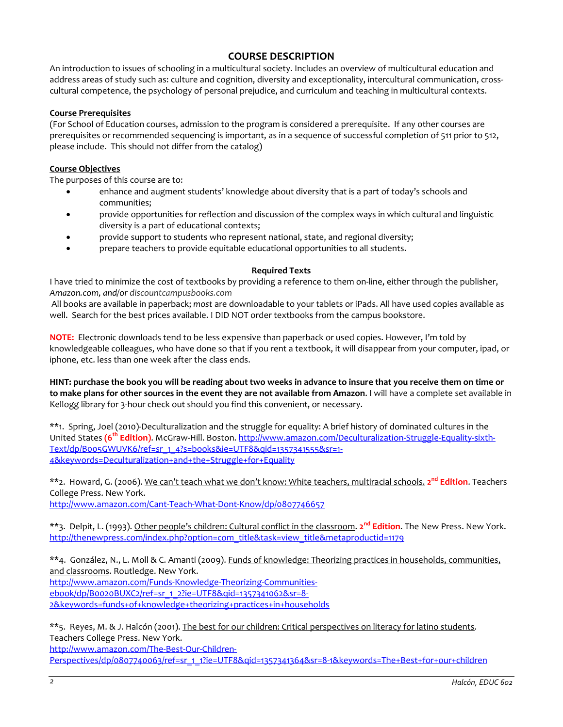# **COURSE DESCRIPTION**

An introduction to issues of schooling in a multicultural society. Includes an overview of multicultural education and address areas of study such as: culture and cognition, diversity and exceptionality, intercultural communication, crosscultural competence, the psychology of personal prejudice, and curriculum and teaching in multicultural contexts.

#### **Course Prerequisites**

(For School of Education courses, admission to the program is considered a prerequisite. If any other courses are prerequisites or recommended sequencing is important, as in a sequence of successful completion of 511 prior to 512, please include. This should not differ from the catalog)

#### **Course Objectives**

The purposes of this course are to:

- enhance and augment students' knowledge about diversity that is a part of today's schools and communities;
- provide opportunities for reflection and discussion of the complex ways in which cultural and linguistic diversity is a part of educational contexts;
- provide support to students who represent national, state, and regional diversity;
- prepare teachers to provide equitable educational opportunities to all students.

#### **Required Texts**

I have tried to minimize the cost of textbooks by providing a reference to them on-line, either through the publisher, *Amazon.com, and/or discountcampusbooks.com* 

All books are available in paperback; *most* are downloadable to your tablets or iPads. All have used copies available as well. Search for the best prices available. I DID NOT order textbooks from the campus bookstore.

**NOTE:** Electronic downloads tend to be less expensive than paperback or used copies. However, I'm told by knowledgeable colleagues, who have done so that if you rent a textbook, it will disappear from your computer, ipad, or iphone, etc. less than one week after the class ends.

**HINT: purchase the book you will be reading about two weeks in advance to insure that you receive them on time or to make plans for other sources in the event they are not available from Amazon**. I will have a complete set available in Kellogg library for 3-hour check out should you find this convenient, or necessary.

\*\*1. Spring, Joel (2010)-Deculturalization and the struggle for equality: A brief history of dominated cultures in the United States **(6th Edition)**. McGraw-Hill. Boston[. http://www.amazon.com/Deculturalization-Struggle-Equality-sixth-](http://www.amazon.com/Deculturalization-Struggle-Equality-sixth-Text/dp/B005GWUVK6/ref=sr_1_4?s=books&ie=UTF8&qid=1357341555&sr=1-4&keywords=Deculturalization+and+the+Struggle+for+Equality)[Text/dp/B005GWUVK6/ref=sr\\_1\\_4?s=books&ie=UTF8&qid=1357341555&sr=1-](http://www.amazon.com/Deculturalization-Struggle-Equality-sixth-Text/dp/B005GWUVK6/ref=sr_1_4?s=books&ie=UTF8&qid=1357341555&sr=1-4&keywords=Deculturalization+and+the+Struggle+for+Equality) [4&keywords=Deculturalization+and+the+Struggle+for+Equality](http://www.amazon.com/Deculturalization-Struggle-Equality-sixth-Text/dp/B005GWUVK6/ref=sr_1_4?s=books&ie=UTF8&qid=1357341555&sr=1-4&keywords=Deculturalization+and+the+Struggle+for+Equality)

\*\*2. Howard, G. (2006). We can't teach what we don't know: White teachers, multiracial schools. **2nd Edition**. Teachers College Press. New York.

<http://www.amazon.com/Cant-Teach-What-Dont-Know/dp/0807746657>

\*\*3. Delpit, L. (1993). Other people's children: Cultural conflict in the classroom. **2nd Edition**. The New Press. New York. [http://thenewpress.com/index.php?option=com\\_title&task=view\\_title&metaproductid=1179](http://thenewpress.com/index.php?option=com_title&task=view_title&metaproductid=1179)

\*\*4. González, N., L. Moll & C. Amanti (2009). Funds of knowledge: Theorizing practices in households, communities, and classrooms. Routledge. New York. [http://www.amazon.com/Funds-Knowledge-Theorizing-Communities](http://www.amazon.com/Funds-Knowledge-Theorizing-Communities-ebook/dp/B0020BUXC2/ref=sr_1_2?ie=UTF8&qid=1357341062&sr=8-2&keywords=funds+of+knowledge+theorizing+practices+in+households)[ebook/dp/B0020BUXC2/ref=sr\\_1\\_2?ie=UTF8&qid=1357341062&sr=8-](http://www.amazon.com/Funds-Knowledge-Theorizing-Communities-ebook/dp/B0020BUXC2/ref=sr_1_2?ie=UTF8&qid=1357341062&sr=8-2&keywords=funds+of+knowledge+theorizing+practices+in+households) [2&keywords=funds+of+knowledge+theorizing+practices+in+households](http://www.amazon.com/Funds-Knowledge-Theorizing-Communities-ebook/dp/B0020BUXC2/ref=sr_1_2?ie=UTF8&qid=1357341062&sr=8-2&keywords=funds+of+knowledge+theorizing+practices+in+households)

\*\*5. Reyes, M. & J. Halcón (2001). The best for our children: Critical perspectives on literacy for latino students. Teachers College Press. New York.

[http://www.amazon.com/The-Best-Our-Children-](http://www.amazon.com/The-Best-Our-Children-Perspectives/dp/0807740063/ref=sr_1_1?ie=UTF8&qid=1357341364&sr=8-1&keywords=The+Best+for+our+children)[Perspectives/dp/0807740063/ref=sr\\_1\\_1?ie=UTF8&qid=1357341364&sr=8-1&keywords=The+Best+for+our+children](http://www.amazon.com/The-Best-Our-Children-Perspectives/dp/0807740063/ref=sr_1_1?ie=UTF8&qid=1357341364&sr=8-1&keywords=The+Best+for+our+children)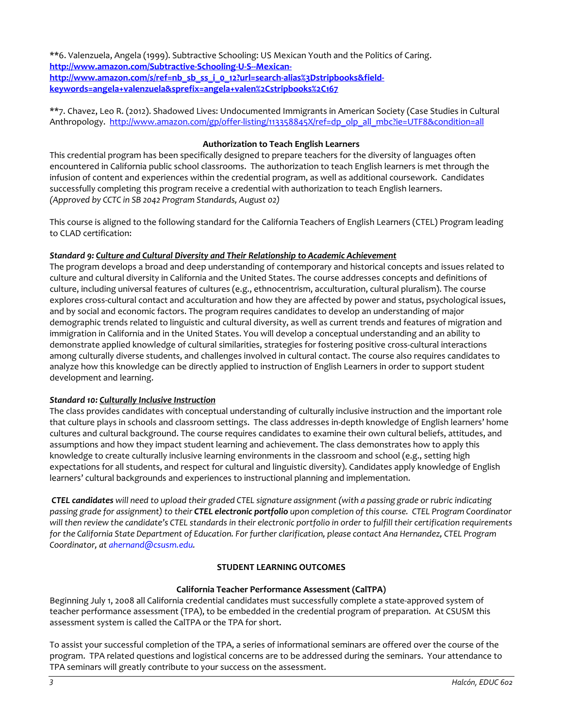\*\*6. Valenzuela, Angela (1999). Subtractive Schooling: US Mexican Youth and the Politics of Caring. **[http://www.amazon.com/Subtractive-Schooling-U-S--Mexican](http://www.amazon.com/Subtractive-Schooling-U-S--Mexican-http:/www.amazon.com/s/ref=nb_sb_ss_i_0_12?url=search-alias%3Dstripbooks&field-keywords=angela+valenzuela&sprefix=angela+valen%2Cstripbooks%2C167)**[http://www.amazon.com/s/ref=nb\\_sb\\_ss\\_i\\_0\\_12?url=search-alias%3Dstripbooks&field](http://www.amazon.com/Subtractive-Schooling-U-S--Mexican-http:/www.amazon.com/s/ref=nb_sb_ss_i_0_12?url=search-alias%3Dstripbooks&field-keywords=angela+valenzuela&sprefix=angela+valen%2Cstripbooks%2C167)**[keywords=angela+valenzuela&sprefix=angela+valen%2Cstripbooks%2C167](http://www.amazon.com/Subtractive-Schooling-U-S--Mexican-http:/www.amazon.com/s/ref=nb_sb_ss_i_0_12?url=search-alias%3Dstripbooks&field-keywords=angela+valenzuela&sprefix=angela+valen%2Cstripbooks%2C167)**

\*\*7. Chavez, Leo R. (2012). Shadowed Lives: Undocumented Immigrants in American Society (Case Studies in Cultural Anthropology. [http://www.amazon.com/gp/offer-listing/113358845X/ref=dp\\_olp\\_all\\_mbc?ie=UTF8&condition=all](http://www.amazon.com/gp/offer-listing/113358845X/ref=dp_olp_all_mbc?ie=UTF8&condition=all)

### **Authorization to Teach English Learners**

This credential program has been specifically designed to prepare teachers for the diversity of languages often encountered in California public school classrooms. The authorization to teach English learners is met through the infusion of content and experiences within the credential program, as well as additional coursework. Candidates successfully completing this program receive a credential with authorization to teach English learners. *(Approved by CCTC in SB 2042 Program Standards, August 02)*

This course is aligned to the following standard for the California Teachers of English Learners (CTEL) Program leading to CLAD certification:

### *Standard 9: Culture and Cultural Diversity and Their Relationship to Academic Achievement*

The program develops a broad and deep understanding of contemporary and historical concepts and issues related to culture and cultural diversity in California and the United States. The course addresses concepts and definitions of culture, including universal features of cultures (e.g., ethnocentrism, acculturation, cultural pluralism). The course explores cross-cultural contact and acculturation and how they are affected by power and status, psychological issues, and by social and economic factors. The program requires candidates to develop an understanding of major demographic trends related to linguistic and cultural diversity, as well as current trends and features of migration and immigration in California and in the United States. You will develop a conceptual understanding and an ability to demonstrate applied knowledge of cultural similarities, strategies for fostering positive cross-cultural interactions among culturally diverse students, and challenges involved in cultural contact. The course also requires candidates to analyze how this knowledge can be directly applied to instruction of English Learners in order to support student development and learning.

### *Standard 10: Culturally Inclusive Instruction*

The class provides candidates with conceptual understanding of culturally inclusive instruction and the important role that culture plays in schools and classroom settings. The class addresses in-depth knowledge of English learners' home cultures and cultural background. The course requires candidates to examine their own cultural beliefs, attitudes, and assumptions and how they impact student learning and achievement. The class demonstrates how to apply this knowledge to create culturally inclusive learning environments in the classroom and school (e.g., setting high expectations for all students, and respect for cultural and linguistic diversity). Candidates apply knowledge of English learners' cultural backgrounds and experiences to instructional planning and implementation.

*CTEL candidates will need to upload their graded CTEL signature assignment (with a passing grade or rubric indicating passing grade for assignment) to their CTEL electronic portfolio upon completion of this course. CTEL Program Coordinator will then review the candidate's CTEL standards in their electronic portfolio in order to fulfill their certification requirements for the California State Department of Education. For further clarification, please contact Ana Hernandez, CTEL Program Coordinator, a[t ahernand@csusm.edu.](mailto:ahernand@csusm.edu)*

## **STUDENT LEARNING OUTCOMES**

### **California Teacher Performance Assessment (CalTPA)**

Beginning July 1, 2008 all California credential candidates must successfully complete a state-approved system of teacher performance assessment (TPA), to be embedded in the credential program of preparation. At CSUSM this assessment system is called the CalTPA or the TPA for short.

To assist your successful completion of the TPA, a series of informational seminars are offered over the course of the program. TPA related questions and logistical concerns are to be addressed during the seminars. Your attendance to TPA seminars will greatly contribute to your success on the assessment.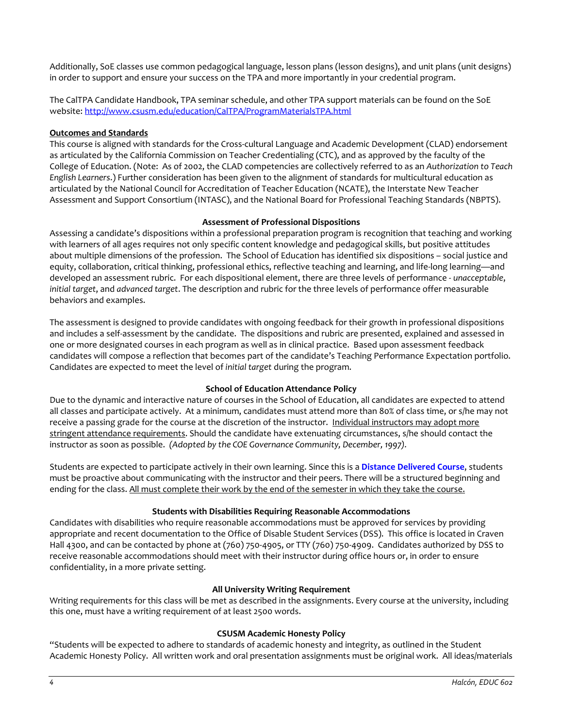Additionally, SoE classes use common pedagogical language, lesson plans (lesson designs), and unit plans (unit designs) in order to support and ensure your success on the TPA and more importantly in your credential program.

The CalTPA Candidate Handbook, TPA seminar schedule, and other TPA support materials can be found on the SoE website: <http://www.csusm.edu/education/CalTPA/ProgramMaterialsTPA.html>

### **Outcomes and Standards**

This course is aligned with standards for the Cross-cultural Language and Academic Development (CLAD) endorsement as articulated by the California Commission on Teacher Credentialing (CTC), and as approved by the faculty of the College of Education. (Note: As of 2002, the CLAD competencies are collectively referred to as an *Authorization to Teach English Learners*.) Further consideration has been given to the alignment of standards for multicultural education as articulated by the National Council for Accreditation of Teacher Education (NCATE), the Interstate New Teacher Assessment and Support Consortium (INTASC), and the National Board for Professional Teaching Standards (NBPTS).

## **Assessment of Professional Dispositions**

Assessing a candidate's dispositions within a professional preparation program is recognition that teaching and working with learners of all ages requires not only specific content knowledge and pedagogical skills, but positive attitudes about multiple dimensions of the profession. The School of Education has identified six dispositions – social justice and equity, collaboration, critical thinking, professional ethics, reflective teaching and learning, and life-long learning—and developed an assessment rubric. For each dispositional element, there are three levels of performance - *unacceptable*, *initial target*, and *advanced target*. The description and rubric for the three levels of performance offer measurable behaviors and examples.

The assessment is designed to provide candidates with ongoing feedback for their growth in professional dispositions and includes a self-assessment by the candidate. The dispositions and rubric are presented, explained and assessed in one or more designated courses in each program as well as in clinical practice. Based upon assessment feedback candidates will compose a reflection that becomes part of the candidate's Teaching Performance Expectation portfolio. Candidates are expected to meet the level of *initial target* during the program.

## **School of Education Attendance Policy**

Due to the dynamic and interactive nature of courses in the School of Education, all candidates are expected to attend all classes and participate actively. At a minimum, candidates must attend more than 80% of class time, or s/he may not receive a passing grade for the course at the discretion of the instructor. Individual instructors may adopt more stringent attendance requirements. Should the candidate have extenuating circumstances, s/he should contact the instructor as soon as possible. *(Adopted by the COE Governance Community, December, 1997).*

Students are expected to participate actively in their own learning. Since this is a **Distance Delivered Course**, students must be proactive about communicating with the instructor and their peers. There will be a structured beginning and ending for the class. All must complete their work by the end of the semester in which they take the course.

### **Students with Disabilities Requiring Reasonable Accommodations**

Candidates with disabilities who require reasonable accommodations must be approved for services by providing appropriate and recent documentation to the Office of Disable Student Services (DSS). This office is located in Craven Hall 4300, and can be contacted by phone at (760) 750-4905, or TTY (760) 750-4909. Candidates authorized by DSS to receive reasonable accommodations should meet with their instructor during office hours or, in order to ensure confidentiality, in a more private setting.

### **All University Writing Requirement**

Writing requirements for this class will be met as described in the assignments. Every course at the university, including this one, must have a writing requirement of at least 2500 words.

### **CSUSM Academic Honesty Policy**

"Students will be expected to adhere to standards of academic honesty and integrity, as outlined in the Student Academic Honesty Policy. All written work and oral presentation assignments must be original work. All ideas/materials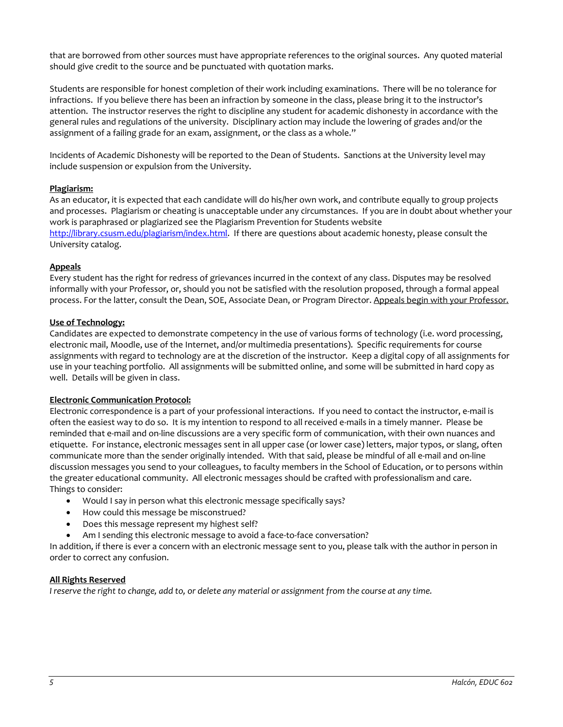that are borrowed from other sources must have appropriate references to the original sources. Any quoted material should give credit to the source and be punctuated with quotation marks.

Students are responsible for honest completion of their work including examinations. There will be no tolerance for infractions. If you believe there has been an infraction by someone in the class, please bring it to the instructor's attention. The instructor reserves the right to discipline any student for academic dishonesty in accordance with the general rules and regulations of the university. Disciplinary action may include the lowering of grades and/or the assignment of a failing grade for an exam, assignment, or the class as a whole."

Incidents of Academic Dishonesty will be reported to the Dean of Students. Sanctions at the University level may include suspension or expulsion from the University.

## **Plagiarism:**

As an educator, it is expected that each candidate will do his/her own work, and contribute equally to group projects and processes. Plagiarism or cheating is unacceptable under any circumstances. If you are in doubt about whether your work is paraphrased or plagiarized see the Plagiarism Prevention for Students website [http://library.csusm.edu/plagiarism/index.html.](http://library.csusm.edu/plagiarism/index.html) If there are questions about academic honesty, please consult the University catalog.

## **Appeals**

Every student has the right for redress of grievances incurred in the context of any class. Disputes may be resolved informally with your Professor, or, should you not be satisfied with the resolution proposed, through a formal appeal process. For the latter, consult the Dean, SOE, Associate Dean, or Program Director. Appeals begin with your Professor.

### **Use of Technology:**

Candidates are expected to demonstrate competency in the use of various forms of technology (i.e. word processing, electronic mail, Moodle, use of the Internet, and/or multimedia presentations). Specific requirements for course assignments with regard to technology are at the discretion of the instructor. Keep a digital copy of all assignments for use in your teaching portfolio. All assignments will be submitted online, and some will be submitted in hard copy as well. Details will be given in class.

### **Electronic Communication Protocol:**

Electronic correspondence is a part of your professional interactions. If you need to contact the instructor, e-mail is often the easiest way to do so. It is my intention to respond to all received e-mails in a timely manner. Please be reminded that e-mail and on-line discussions are a very specific form of communication, with their own nuances and etiquette. For instance, electronic messages sent in all upper case (or lower case) letters, major typos, or slang, often communicate more than the sender originally intended. With that said, please be mindful of all e-mail and on-line discussion messages you send to your colleagues, to faculty members in the School of Education, or to persons within the greater educational community. All electronic messages should be crafted with professionalism and care. Things to consider:

- Would I say in person what this electronic message specifically says?
- How could this message be misconstrued?
- Does this message represent my highest self?
- Am I sending this electronic message to avoid a face-to-face conversation?

In addition, if there is ever a concern with an electronic message sent to you, please talk with the author in person in order to correct any confusion.

### **All Rights Reserved**

*I reserve the right to change, add to, or delete any material or assignment from the course at any time.*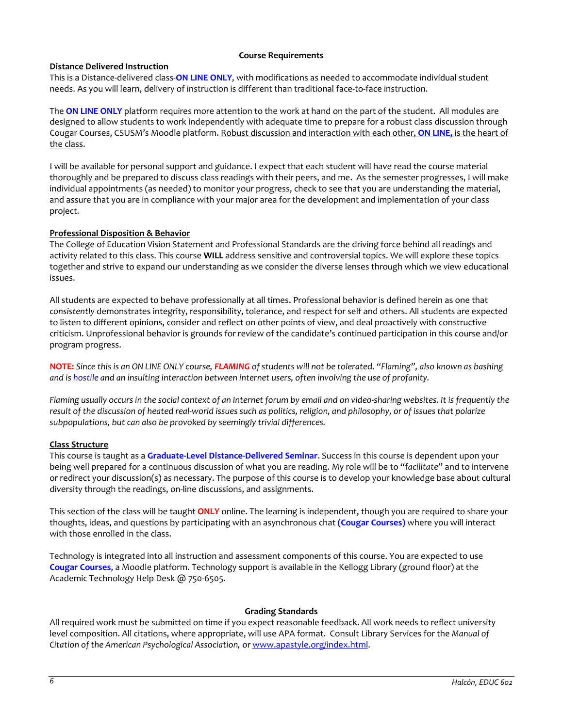### **Course Requirements**

### **Distance Delivered Instruction**

This is a Distance-delivered class-**ON LINE ONLY**, with modifications as needed to accommodate individual student needs. As you will learn, delivery of instruction is different than traditional face-to-face instruction.

The **ON LINE ONLY** platform requires more attention to the work at hand on the part of the student. All modules are designed to allow students to work independently with adequate time to prepare for a robust class discussion through Cougar Courses, CSUSM's Moodle platform. Robust discussion and interaction with each other, **ON LINE,** is the heart of the class.

I will be available for personal support and guidance. I expect that each student will have read the course material thoroughly and be prepared to discuss class readings with their peers, and me. As the semester progresses, I will make individual appointments (as needed) to monitor your progress, check to see that you are understanding the material, and assure that you are in compliance with your major area for the development and implementation of your class project.

### **Professional Disposition & Behavior**

The College of Education Vision Statement and Professional Standards are the driving force behind all readings and activity related to this class. This course **WILL** address sensitive and controversial topics. We will explore these topics together and strive to expand our understanding as we consider the diverse lenses through which we view educational issues.

All students are expected to behave professionally at all times. Professional behavior is defined herein as one that *consistently* demonstrates integrity, responsibility, tolerance, and respect for self and others. All students are expected to listen to different opinions, consider and reflect on other points of view, and deal proactively with constructive criticism. Unprofessional behavior is grounds for review of the candidate's continued participation in this course and/or program progress.

**NOTE:** *Since this is an ON LINE ONLY course, FLAMING of students will not be tolerated. "Flaming", also known as bashing and is [hostile](http://en.wikipedia.org/wiki/Hostile) and an insulting interaction between internet users, often involving the use of [profanity.](http://en.wikipedia.org/wiki/Profanity)* 

*Flaming usually occurs in the social context of an Internet forum by email and on [video-sharing websites.](http://en.wikipedia.org/wiki/Video_hosting_service) It is frequently the result of the discussion of heated real-world issues such as politics, religion, and philosophy, or of issues that polarize subpopulations, but can also be provoked by seemingly trivial differences.*

### **Class Structure**

This course is taught as a **Graduate-Level Distance-Delivered Seminar**. Success in this course is dependent upon your being well prepared for a continuous discussion of what you are reading. My role will be to "f*acilitate*" and to intervene or redirect your discussion(s) as necessary. The purpose of this course is to develop your knowledge base about cultural diversity through the readings, on-line discussions, and assignments.

This section of the class will be taught **ONLY** online. The learning is independent, though you are required to share your thoughts, ideas, and questions by participating with an asynchronous chat **(Cougar Courses)** where you will interact with those enrolled in the class.

Technology is integrated into all instruction and assessment components of this course. You are expected to use **Cougar Courses**, a Moodle platform. Technology support is available in the Kellogg Library (ground floor) at the Academic Technology Help Desk @ 750-6505.

#### **Grading Standards**

All required work must be submitted on time if you expect reasonable feedback. All work needs to reflect university level composition. All citations, where appropriate, will use APA format. Consult Library Services for the *Manual of Citation of the American Psychological Association,* or [www.apastyle.org/index.html.](http://www.apastyle.org/index.html)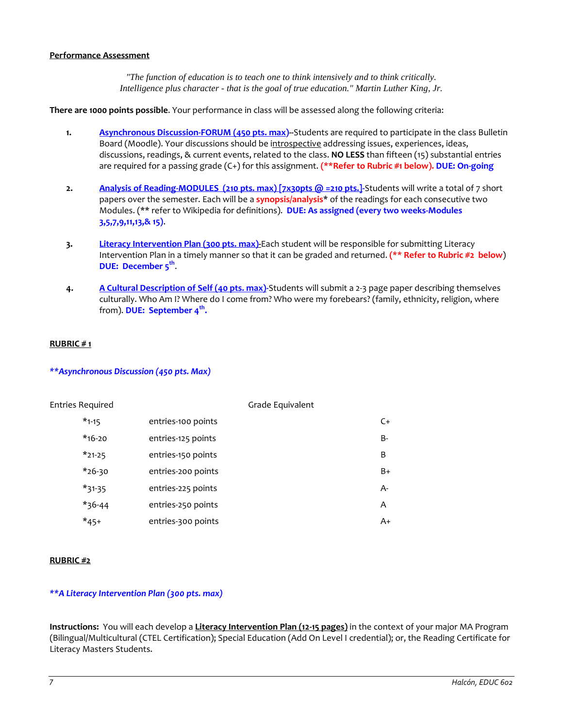#### **Performance Assessment**

*"The function of education is to teach one to think intensively and to think critically. Intelligence plus character - that is the goal of true education." Martin Luther King, Jr.*

**There are 1000 points possible**. Your performance in class will be assessed along the following criteria:

- **1. Asynchronous Discussion-FORUM (450 pts. max)--**Students are required to participate in the class Bulletin Board (Moodle). Your discussions should be introspective addressing issues, experiences, ideas, discussions, readings, & current events, related to the class. **NO LESS** than fifteen (15) substantial entries are required for a passing grade (C+) for this assignment. **(\*\*Refer to Rubric #1 below). DUE: On-going**
- **2. Analysis of Reading-MODULES** (210 pts. max) [7x30pts @ =210 pts.]-Students will write a total of 7 short papers over the semester. Each will be a **synopsis/analysis**\* of the readings for each consecutive two Modules. (\*\* refer to Wikipedia for definitions). **DUE: As assigned (every two weeks-Modules 3,5,7,9,11,13,& 15)**.
- **3. Literacy Intervention Plan (300 pts. max)-**Each student will be responsible for submitting Literacy Intervention Plan in a timely manner so that it can be graded and returned. **(\*\* Refer to Rubric #2 below**) **DUE:** December 5<sup>th</sup>.
- **4. A Cultural Description of Self (40 pts. max)-**Students will submit a 2-3 page paper describing themselves culturally. Who Am I? Where do I come from? Who were my forebears? (family, ethnicity, religion, where from). **DUE: September 4th.**

### **RUBRIC # 1**

## *\*\*Asynchronous Discussion (450 pts. Max)*

| Entries Required |                    | Grade Equivalent |
|------------------|--------------------|------------------|
| $*_{1-15}$       | entries-100 points | $C+$             |
| $*$ 16-20        | entries-125 points | B-               |
| $*21-25$         | entries-150 points | B                |
| $*$ 26-30        | entries-200 points | $B+$             |
| $*31-35$         | entries-225 points | A-               |
| $*36-44$         | entries-250 points | A                |
| $*_{45+}$        | entries-300 points | A+               |

#### **RUBRIC #2**

### *\*\*A Literacy Intervention Plan (300 pts. max)*

**Instructions:** You will each develop a **Literacy Intervention Plan (12-15 pages)** in the context of your major MA Program (Bilingual/Multicultural (CTEL Certification); Special Education (Add On Level I credential); or, the Reading Certificate for Literacy Masters Students.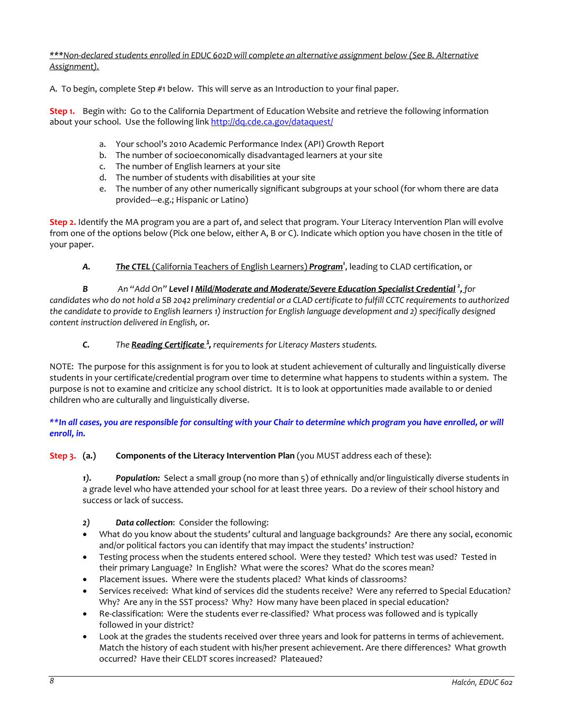*\*\*\*Non-declared students enrolled in EDUC 602D will complete an alternative assignment below (See B. Alternative Assignment).*

A. To begin, complete Step #1 below. This will serve as an Introduction to your final paper.

**Step 1.** Begin with: Go to the California Department of Education Website and retrieve the following information about your school. Use the following lin[k http://dq.cde.ca.gov/dataquest/](http://dq.cde.ca.gov/dataquest/)

- a. Your school's 2010 Academic Performance Index (API) Growth Report
- b. The number of socioeconomically disadvantaged learners at your site
- c. The number of English learners at your site
- d. The number of students with disabilities at your site
- e. The number of any other numerically significant subgroups at your school (for whom there are data provided---e.g.; Hispanic or Latino)

**Step 2.** Identify the MA program you are a part of, and select that program. Your Literacy Intervention Plan will evolve from one of the options below (Pick one below, either A, B or C). Indicate which option you have chosen in the title of your paper.

*A. The CTEL* (California Teachers of English Learners) *Program<sup>1</sup>* , leading to CLAD certification, or

*B An "Add On" Level I Mild/Moderate and Moderate/Severe Education Specialist Credential <sup>2</sup> , for candidates who do not hold a SB 2042 preliminary credential or a CLAD certificate to fulfill CCTC requirements to authorized the candidate to provide to English learners 1) instruction for English language development and 2) specifically designed content instruction delivered in English, or.*

*C. The Reading Certificate <sup>3</sup> , requirements for Literacy Masters students.*

NOTE: The purpose for this assignment is for you to look at student achievement of culturally and linguistically diverse students in your certificate/credential program over time to determine what happens to students within a system. The purpose is not to examine and criticize any school district. It is to look at opportunities made available to or denied children who are culturally and linguistically diverse.

*\*\*In all cases, you are responsible for consulting with your Chair to determine which program you have enrolled, or will enroll, in.*

**Step 3. (a.) Components of the Literacy Intervention Plan** (you MUST address each of these):

*1). Population:* Select a small group (no more than 5) of ethnically and/or linguistically diverse students in a grade level who have attended your school for at least three years. Do a review of their school history and success or lack of success.

- *2) Data collection*: Consider the following:
- What do you know about the students' cultural and language backgrounds? Are there any social, economic and/or political factors you can identify that may impact the students' instruction?
- Testing process when the students entered school. Were they tested? Which test was used? Tested in their primary Language? In English? What were the scores? What do the scores mean?
- Placement issues. Where were the students placed? What kinds of classrooms?
- Services received: What kind of services did the students receive? Were any referred to Special Education? Why? Are any in the SST process? Why? How many have been placed in special education?
- Re-classification: Were the students ever re-classified? What process was followed and is typically followed in your district?
- Look at the grades the students received over three years and look for patterns in terms of achievement. Match the history of each student with his/her present achievement. Are there differences? What growth occurred? Have their CELDT scores increased? Plateaued?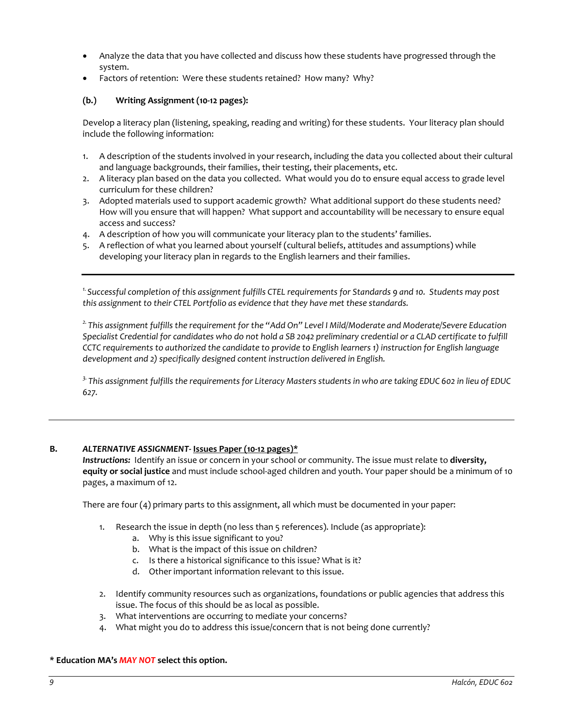- Analyze the data that you have collected and discuss how these students have progressed through the system.
- Factors of retention: Were these students retained? How many? Why?

## **(b.) Writing Assignment (10-12 pages):**

Develop a literacy plan (listening, speaking, reading and writing) for these students. Your literacy plan should include the following information:

- 1. A description of the students involved in your research, including the data you collected about their cultural and language backgrounds, their families, their testing, their placements, etc.
- 2. A literacy plan based on the data you collected. What would you do to ensure equal access to grade level curriculum for these children?
- 3. Adopted materials used to support academic growth? What additional support do these students need? How will you ensure that will happen? What support and accountability will be necessary to ensure equal access and success?
- 4. A description of how you will communicate your literacy plan to the students' families.
- 5. A reflection of what you learned about yourself (cultural beliefs, attitudes and assumptions) while developing your literacy plan in regards to the English learners and their families.

*1. Successful completion of this assignment fulfills CTEL requirements for Standards 9 and 10. Students may post this assignment to their CTEL Portfolio as evidence that they have met these standards.* 

*2. This assignment fulfills the requirement for the "Add On" Level I Mild/Moderate and Moderate/Severe Education*  Specialist Credential for candidates who do not hold a SB 2042 preliminary credential or a CLAD certificate to fulfill *CCTC requirements to authorized the candidate to provide to English learners 1) instruction for English language development and 2) specifically designed content instruction delivered in English.*

*3. This assignment fulfills the requirements for Literacy Masters students in who are taking EDUC 602 in lieu of EDUC 627.*

### **B.** *ALTERNATIVE ASSIGNMENT***- Issues Paper (10-12 pages)\***

*Instructions:* Identify an issue or concern in your school or community. The issue must relate to **diversity, equity or social justice** and must include school-aged children and youth. Your paper should be a minimum of 10 pages, a maximum of 12.

There are four (4) primary parts to this assignment, all which must be documented in your paper:

- 1. Research the issue in depth (no less than 5 references). Include (as appropriate):
	- a. Why is this issue significant to you?
	- b. What is the impact of this issue on children?
	- c. Is there a historical significance to this issue? What is it?
	- d. Other important information relevant to this issue.
- 2. Identify community resources such as organizations, foundations or public agencies that address this issue. The focus of this should be as local as possible.
- 3. What interventions are occurring to mediate your concerns?
- 4. What might you do to address this issue/concern that is not being done currently?

#### **\* Education MA's** *MAY NOT* **select this option.**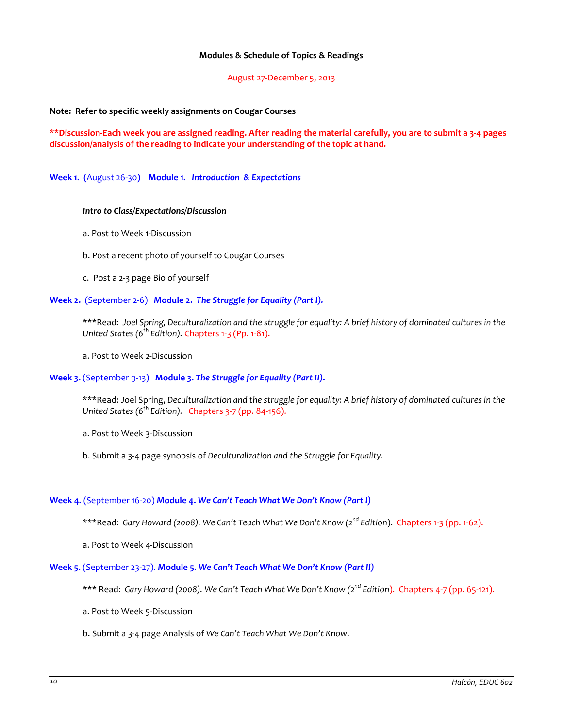#### **Modules & Schedule of Topics & Readings**

August 27-December 5, 2013

**Note: Refer to specific weekly assignments on Cougar Courses**

**\*\*Discussion-Each week you are assigned reading. After reading the material carefully, you are to submit a 3-4 pages discussion/analysis of the reading to indicate your understanding of the topic at hand.** 

**Week 1. (**August 26-30**) Module 1.** *Introduction & Expectations*

#### *Intro to Class/Expectations/Discussion*

- a. Post to Week 1-Discussion
- b. Post a recent photo of yourself to Cougar Courses
- c. Post a 2-3 page Bio of yourself

#### **Week 2.** (September 2-6) **Module 2.** *The Struggle for Equality (Part I).*

\*\*\*Read: *Joel Spring, Deculturalization and the struggle for equality: A brief history of dominated cultures in the United States (6th Edition).* Chapters 1-3 (Pp. 1-81).

a. Post to Week 2-Discussion

#### **Week 3.** (September 9-13) **Module 3.** *The Struggle for Equality (Part II)***.**

\*\*\*Read: Joel Spring, *Deculturalization and the struggle for equality: A brief history of dominated cultures in the United States (6th Edition).* Chapters 3-7 (pp. 84-156).

a. Post to Week 3-Discussion

b. Submit a 3-4 page synopsis of *Deculturalization and the Struggle for Equality.*

#### **Week 4.** (September 16-20) **Module 4.** *We Can't Teach What We Don't Know (Part I)*

\*\*\*Read: *Gary Howard (2008). We Can't Teach What We Don't Know (2nd Edition*). Chapters 1-3 (pp. 1-62).

a. Post to Week 4-Discussion

#### **Week 5.** (September 23-27). **Module 5.** *We Can't Teach What We Don't Know (Part II)*

- \*\*\* Read: *Gary Howard (2008). We Can't Teach What We Don't Know (2nd Edition*). Chapters 4-7 (pp. 65-121).
- a. Post to Week 5-Discussion
- b. Submit a 3-4 page Analysis of *We Can't Teach What We Don't Know*.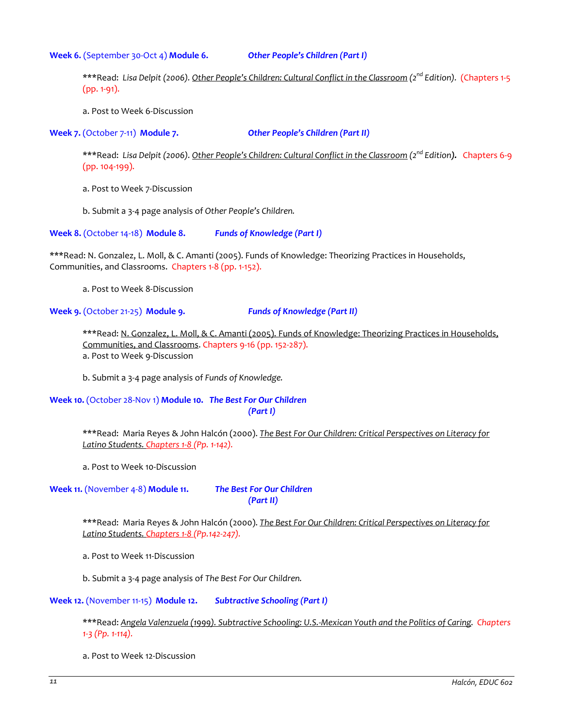**Week 6.** (September 30-Oct 4) **Module 6.** *Other People's Children (Part I)*

\*\*\*Read: *Lisa Delpit (2006). Other People's Children: Cultural Conflict in the Classroom (2nd Edition).* (Chapters 1-5 (pp. 1-91).

a. Post to Week 6-Discussion

**Week 7.** (October 7-11) **Module 7.** *Other People's Children (Part II)*

\*\*\*Read: *Lisa Delpit (2006). Other People's Children: Cultural Conflict in the Classroom (2nd Edition).* Chapters 6-9 (pp. 104-199).

a. Post to Week 7-Discussion

b. Submit a 3-4 page analysis of *Other People's Children.*

**Week 8.** (October 14-18) **Module 8.** *Funds of Knowledge (Part I)*

\*\*\*Read: N. Gonzalez, L. Moll, & C. Amanti (2005). Funds of Knowledge: Theorizing Practices in Households, Communities, and Classrooms. Chapters 1-8 (pp. 1-152).

a. Post to Week 8-Discussion

**Week 9.** (October 21-25) **Module 9.** *Funds of Knowledge (Part II)*

\*\*\*Read: N. Gonzalez, L. Moll, & C. Amanti (2005). Funds of Knowledge: Theorizing Practices in Households, Communities, and Classrooms. Chapters 9-16 (pp. 152-287). a. Post to Week 9-Discussion

b. Submit a 3-4 page analysis of *Funds of Knowledge.*

**Week 10.** (October 28-Nov 1) **Module 10.** *The Best For Our Children (Part I)*

> \*\*\*Read: Maria Reyes & John Halcón (2000). *The Best For Our Children: Critical Perspectives on Literacy for Latino Students. Chapters 1-8 (Pp. 1-142).*

a. Post to Week 10-Discussion

**Week 11.** (November 4-8) **Module 11.** *The Best For Our Children* 

*(Part II)*

\*\*\*Read: Maria Reyes & John Halcón (2000). *The Best For Our Children: Critical Perspectives on Literacy for Latino Students. Chapters 1-8 (Pp.142-247).*

a. Post to Week 11-Discussion

b. Submit a 3-4 page analysis of *The Best For Our Children.*

**Week 12.** (November 11-15) **Module 12.** *Subtractive Schooling (Part I)*

\*\*\*Read: *Angela Valenzuela (1999). Subtractive Schooling: U.S.-Mexican Youth and the Politics of Caring. Chapters 1-3 (Pp. 1-114).*

a. Post to Week 12-Discussion